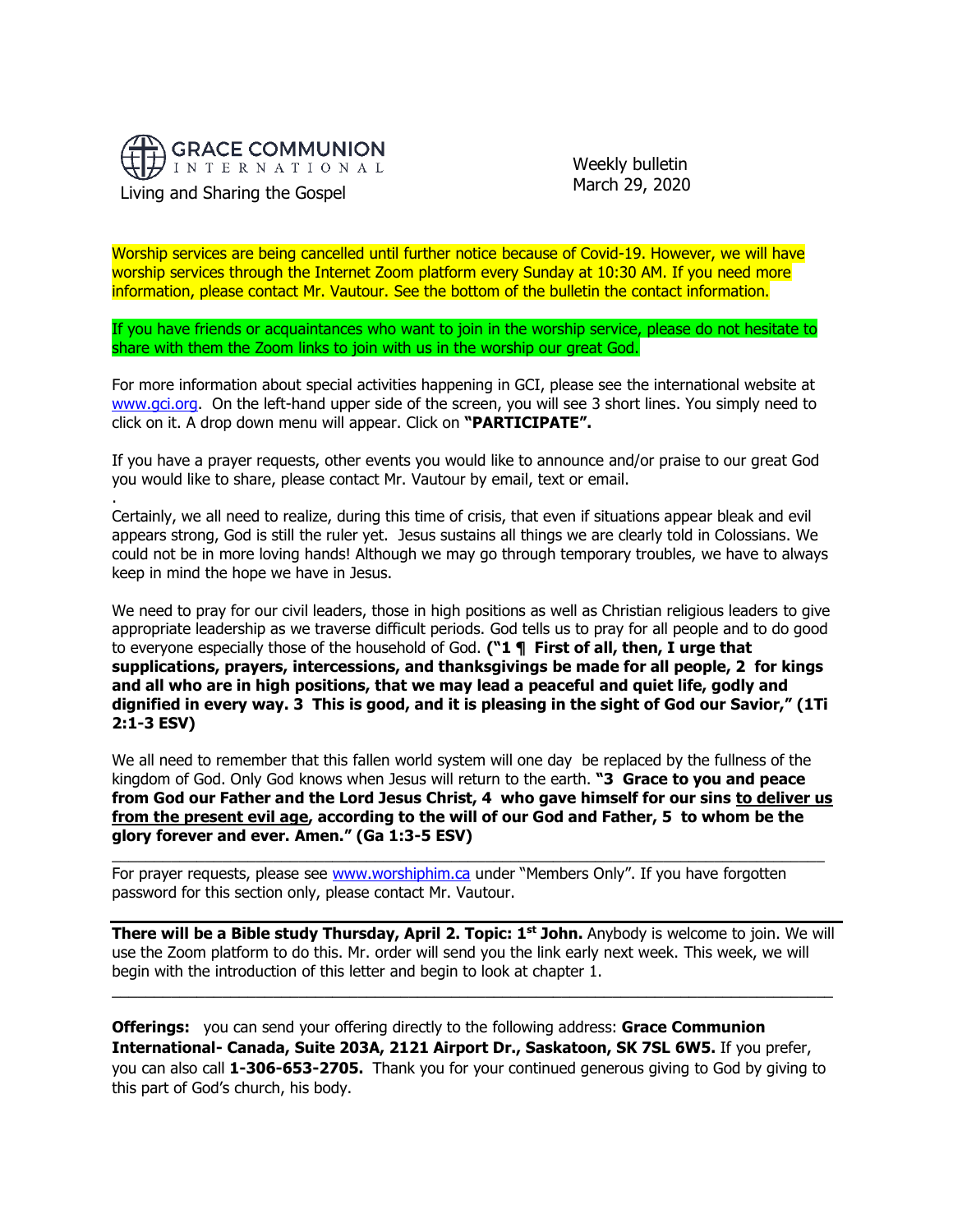

.

 Weekly bulletin March 29, 2020

Worship services are being cancelled until further notice because of Covid-19. However, we will have worship services through the Internet Zoom platform every Sunday at 10:30 AM. If you need more information, please contact Mr. Vautour. See the bottom of the bulletin the contact information.

If you have friends or acquaintances who want to join in the worship service, please do not hesitate to share with them the Zoom links to join with us in the worship our great God.

For more information about special activities happening in GCI, please see the international website at [www.gci.org.](http://www.gci.org/) On the left-hand upper side of the screen, you will see 3 short lines. You simply need to click on it. A drop down menu will appear. Click on **"PARTICIPATE".**

If you have a prayer requests, other events you would like to announce and/or praise to our great God you would like to share, please contact Mr. Vautour by email, text or email.

Certainly, we all need to realize, during this time of crisis, that even if situations appear bleak and evil appears strong, God is still the ruler yet. Jesus sustains all things we are clearly told in Colossians. We could not be in more loving hands! Although we may go through temporary troubles, we have to always keep in mind the hope we have in Jesus.

We need to pray for our civil leaders, those in high positions as well as Christian religious leaders to give appropriate leadership as we traverse difficult periods. God tells us to pray for all people and to do good to everyone especially those of the household of God. **("1 ¶ First of all, then, I urge that supplications, prayers, intercessions, and thanksgivings be made for all people, 2 for kings and all who are in high positions, that we may lead a peaceful and quiet life, godly and dignified in every way. 3 This is good, and it is pleasing in the sight of God our Savior," (1Ti 2:1-3 ESV)**

We all need to remember that this fallen world system will one day be replaced by the fullness of the kingdom of God. Only God knows when Jesus will return to the earth. **"3 Grace to you and peace from God our Father and the Lord Jesus Christ, 4 who gave himself for our sins to deliver us from the present evil age, according to the will of our God and Father, 5 to whom be the glory forever and ever. Amen." (Ga 1:3-5 ESV)**

 $\_$  ,  $\_$  ,  $\_$  ,  $\_$  ,  $\_$  ,  $\_$  ,  $\_$  ,  $\_$  ,  $\_$  ,  $\_$  ,  $\_$  ,  $\_$  ,  $\_$  ,  $\_$  ,  $\_$  ,  $\_$  ,  $\_$  ,  $\_$  ,  $\_$  ,  $\_$  ,  $\_$  ,  $\_$  ,  $\_$  ,  $\_$  ,  $\_$  ,  $\_$  ,  $\_$  ,  $\_$  ,  $\_$  ,  $\_$  ,  $\_$  ,  $\_$  ,  $\_$  ,  $\_$  ,  $\_$  ,  $\_$  ,  $\_$  ,

For prayer requests, please see [www.worshiphim.ca](http://www.worshiphim.ca/) under "Members Only". If you have forgotten password for this section only, please contact Mr. Vautour.

**There will be a Bible study Thursday, April 2. Topic: 1 st John.** Anybody is welcome to join. We will use the Zoom platform to do this. Mr. order will send you the link early next week. This week, we will begin with the introduction of this letter and begin to look at chapter 1.

 $\_$  , and the state of the state of the state of the state of the state of the state of the state of the state of the state of the state of the state of the state of the state of the state of the state of the state of the

**Offerings:** you can send your offering directly to the following address: **Grace Communion International- Canada, Suite 203A, 2121 Airport Dr., Saskatoon, SK 7SL 6W5.** If you prefer, you can also call **1-306-653-2705.** Thank you for your continued generous giving to God by giving to this part of God's church, his body.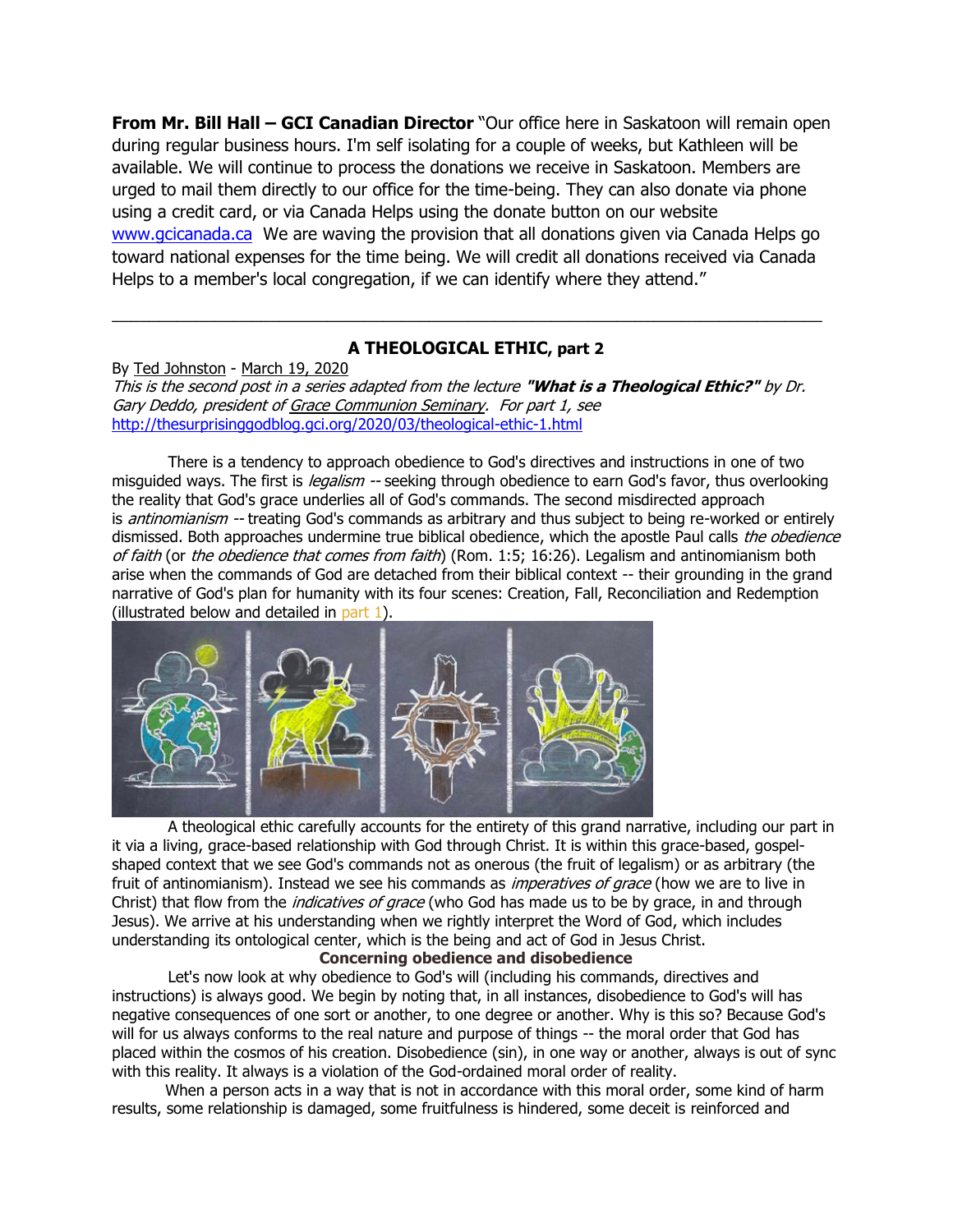**From Mr. Bill Hall – GCI Canadian Director** "Our office here in Saskatoon will remain open during regular business hours. I'm self isolating for a couple of weeks, but Kathleen will be available. We will continue to process the donations we receive in Saskatoon. Members are urged to mail them directly to our office for the time-being. They can also donate via phone using a credit card, or via Canada Helps using the donate button on our website [www.gcicanada.ca](https://eur03.safelinks.protection.outlook.com/?url=http%3A%2F%2Fwww.gcicanada.ca%2F&data=02%7C01%7C%7C9fd93e29c2b44509e5a008d7caa78fdb%7C84df9e7fe9f640afb435aaaaaaaaaaaa%7C1%7C0%7C637200693331983394&sdata=VAGy4Q%2BxbhHuYaeEiDz%2FQyicT%2FoiY4Ir9kc8w5yHRPs%3D&reserved=0) We are waving the provision that all donations given via Canada Helps go toward national expenses for the time being. We will credit all donations received via Canada Helps to a member's local congregation, if we can identify where they attend."

# **A THEOLOGICAL ETHIC, part 2**

\_\_\_\_\_\_\_\_\_\_\_\_\_\_\_\_\_\_\_\_\_\_\_\_\_\_\_\_\_\_\_\_\_\_\_\_\_\_\_\_\_\_\_\_\_\_\_\_\_\_\_\_\_\_\_\_\_\_\_\_\_\_\_\_\_\_\_\_\_\_\_\_\_\_\_\_

By [Ted Johnston](https://www.blogger.com/profile/08677739021765621811) - [March 19, 2020](http://thesurprisinggodblog.gci.org/2020/03/theological-ethic-26.html) This is the second post in a series adapted from the lecture **"What is a Theological Ethic?"** by Dr. Gary Deddo, president of [Grace Communion Seminary.](https://www.gcs.edu/) For part 1, see <http://thesurprisinggodblog.gci.org/2020/03/theological-ethic-1.html>

There is a tendency to approach obedience to God's directives and instructions in one of two misguided ways. The first is *legalism* -- seeking through obedience to earn God's favor, thus overlooking the reality that God's grace underlies all of God's commands. The second misdirected approach is *antinomianism* -- treating God's commands as arbitrary and thus subject to being re-worked or entirely dismissed. Both approaches undermine true biblical obedience, which the apostle Paul calls the obedience of faith (or the obedience that comes from faith) [\(Rom. 1:5;](https://biblia.com/bible/niv/Rom.%201.5) [16:26\)](https://biblia.com/bible/niv/Rom%2016.26). Legalism and antinomianism both arise when the commands of God are detached from their biblical context -- their grounding in the grand narrative of God's plan for humanity with its four scenes: Creation, Fall, Reconciliation and Redemption (illustrated below and detailed in [part 1\)](http://thesurprisinggodblog.gci.org/2020/03/theological-ethic-1.html).



A theological ethic carefully accounts for the entirety of this grand narrative, including our part in it via a living, grace-based relationship with God through Christ. It is within this grace-based, gospelshaped context that we see God's commands not as onerous (the fruit of legalism) or as arbitrary (the fruit of antinomianism). Instead we see his commands as *imperatives of grace* (how we are to live in Christ) that flow from the *indicatives of grace* (who God has made us to be by grace, in and through Jesus). We arrive at his understanding when we rightly interpret the Word of God, which includes understanding its ontological center, which is the being and act of God in Jesus Christ.

## **Concerning obedience and disobedience**

Let's now look at why obedience to God's will (including his commands, directives and instructions) is always good. We begin by noting that, in all instances, disobedience to God's will has negative consequences of one sort or another, to one degree or another. Why is this so? Because God's will for us always conforms to the real nature and purpose of things -- the moral order that God has placed within the cosmos of his creation. Disobedience (sin), in one way or another, always is out of sync with this reality. It always is a violation of the God-ordained moral order of reality.

 When a person acts in a way that is not in accordance with this moral order, some kind of harm results, some relationship is damaged, some fruitfulness is hindered, some deceit is reinforced and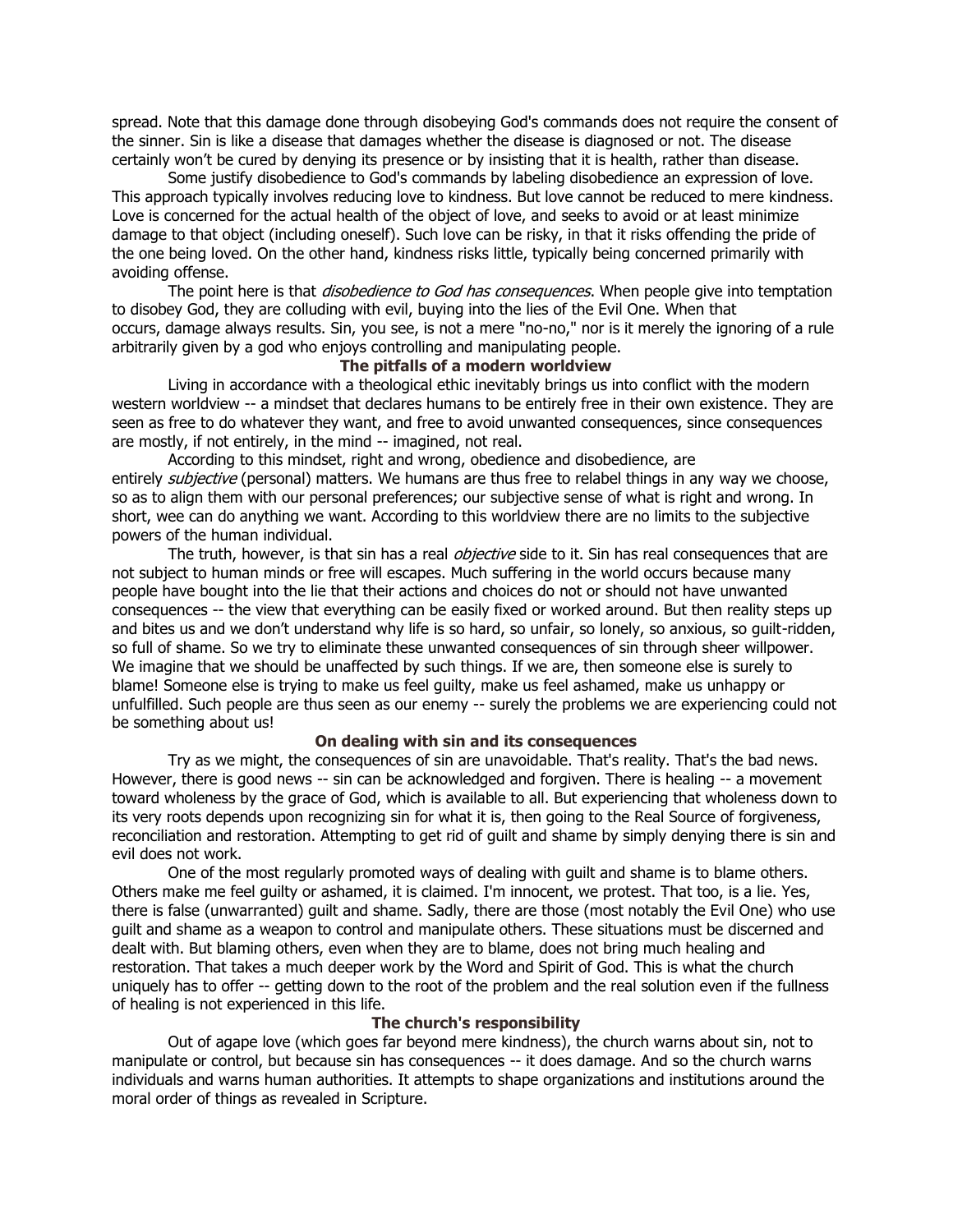spread. Note that this damage done through disobeying God's commands does not require the consent of the sinner. Sin is like a disease that damages whether the disease is diagnosed or not. The disease certainly won't be cured by denying its presence or by insisting that it is health, rather than disease.

Some justify disobedience to God's commands by labeling disobedience an expression of love. This approach typically involves reducing love to kindness. But love cannot be reduced to mere kindness. Love is concerned for the actual health of the object of love, and seeks to avoid or at least minimize damage to that object (including oneself). Such love can be risky, in that it risks offending the pride of the one being loved. On the other hand, kindness risks little, typically being concerned primarily with avoiding offense.

The point here is that *disobedience to God has consequences*. When people give into temptation to disobey God, they are colluding with evil, buying into the lies of the Evil One. When that occurs, damage always results. Sin, you see, is not a mere "no-no," nor is it merely the ignoring of a rule arbitrarily given by a god who enjoys controlling and manipulating people.

#### **The pitfalls of a modern worldview**

Living in accordance with a theological ethic inevitably brings us into conflict with the modern western worldview -- a mindset that declares humans to be entirely free in their own existence. They are seen as free to do whatever they want, and free to avoid unwanted consequences, since consequences are mostly, if not entirely, in the mind -- imagined, not real.

According to this mindset, right and wrong, obedience and disobedience, are entirely *subjective* (personal) matters. We humans are thus free to relabel things in any way we choose, so as to align them with our personal preferences; our subjective sense of what is right and wrong. In short, wee can do anything we want. According to this worldview there are no limits to the subjective powers of the human individual.

The truth, however, is that sin has a real *objective* side to it. Sin has real consequences that are not subject to human minds or free will escapes. Much suffering in the world occurs because many people have bought into the lie that their actions and choices do not or should not have unwanted consequences -- the view that everything can be easily fixed or worked around. But then reality steps up and bites us and we don't understand why life is so hard, so unfair, so lonely, so anxious, so guilt-ridden, so full of shame. So we try to eliminate these unwanted consequences of sin through sheer willpower. We imagine that we should be unaffected by such things. If we are, then someone else is surely to blame! Someone else is trying to make us feel guilty, make us feel ashamed, make us unhappy or unfulfilled. Such people are thus seen as our enemy -- surely the problems we are experiencing could not be something about us!

## **On dealing with sin and its consequences**

Try as we might, the consequences of sin are unavoidable. That's reality. That's the bad news. However, there is good news -- sin can be acknowledged and forgiven. There is healing -- a movement toward wholeness by the grace of God, which is available to all. But experiencing that wholeness down to its very roots depends upon recognizing sin for what it is, then going to the Real Source of forgiveness, reconciliation and restoration. Attempting to get rid of guilt and shame by simply denying there is sin and evil does not work.

One of the most regularly promoted ways of dealing with guilt and shame is to blame others. Others make me feel guilty or ashamed, it is claimed. I'm innocent, we protest. That too, is a lie. Yes, there is false (unwarranted) guilt and shame. Sadly, there are those (most notably the Evil One) who use guilt and shame as a weapon to control and manipulate others. These situations must be discerned and dealt with. But blaming others, even when they are to blame, does not bring much healing and restoration. That takes a much deeper work by the Word and Spirit of God. This is what the church uniquely has to offer -- getting down to the root of the problem and the real solution even if the fullness of healing is not experienced in this life.

#### **The church's responsibility**

Out of agape love (which goes far beyond mere kindness), the church warns about sin, not to manipulate or control, but because sin has consequences -- it does damage. And so the church warns individuals and warns human authorities. It attempts to shape organizations and institutions around the moral order of things as revealed in Scripture.